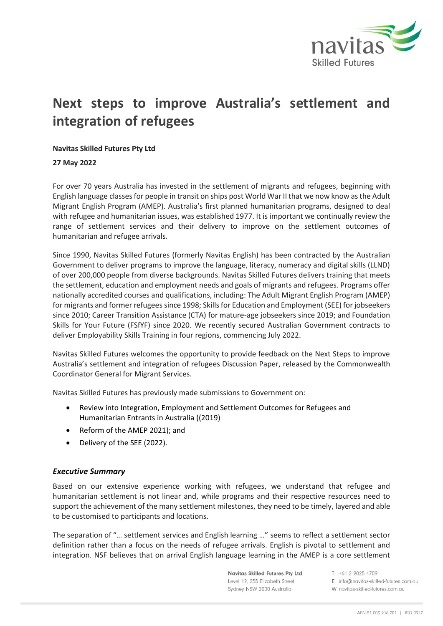

# **Next steps to improve Australia's settlement and integration of refugees**

## **Navitas Skilled Futures Pty Ltd**

### **27 May 2022**

For over 70 years Australia has invested in the settlement of migrants and refugees, beginning with English language classes for people in transit on ships post World War II that we now know as the Adult Migrant English Program (AMEP). Australia's first planned humanitarian programs, designed to deal with refugee and humanitarian issues, was established 1977. It is important we continually review the range of settlement services and their delivery to improve on the settlement outcomes of humanitarian and refugee arrivals.

Since 1990, Navitas Skilled Futures (formerly Navitas English) has been contracted by the Australian Government to deliver programs to improve the language, literacy, numeracy and digital skills (LLND) of over 200,000 people from diverse backgrounds. Navitas Skilled Futures delivers training that meets the settlement, education and employment needs and goals of migrants and refugees. Programs offer nationally accredited courses and qualifications, including: The Adult Migrant English Program (AMEP) for migrants and former refugees since 1998; Skills for Education and Employment (SEE) for jobseekers since 2010; Career Transition Assistance (CTA) for mature-age jobseekers since 2019; and Foundation Skills for Your Future (FSfYF) since 2020. We recently secured Australian Government contracts to deliver Employability Skills Training in four regions, commencing July 2022.

Navitas Skilled Futures welcomes the opportunity to provide feedback on the Next Steps to improve Australia's settlement and integration of refugees Discussion Paper, released by the Commonwealth Coordinator General for Migrant Services.

Navitas Skilled Futures has previously made submissions to Government on:

- Review into Integration, Employment and Settlement Outcomes for Refugees and Humanitarian Entrants in Australia ((2019)
- Reform of the AMEP 2021); and
- Delivery of the SEE (2022).

### *Executive Summary*

Based on our extensive experience working with refugees, we understand that refugee and humanitarian settlement is not linear and, while programs and their respective resources need to support the achievement of the many settlement milestones, they need to be timely, layered and able to be customised to participants and locations.

The separation of "… settlement services and English learning …" seems to reflect a settlement sector definition rather than a focus on the needs of refugee arrivals. English is pivotal to settlement and integration. NSF believes that on arrival English language learning in the AMEP is a core settlement

> Navitas Skilled Futures Pty Ltd Level 12, 255 Elizabeth Street Sydney NSW 2000 Australia

T +61 2 9025 4709 E info@navitas-skilled-futures.com.au W navitas-skilled-futures.com.au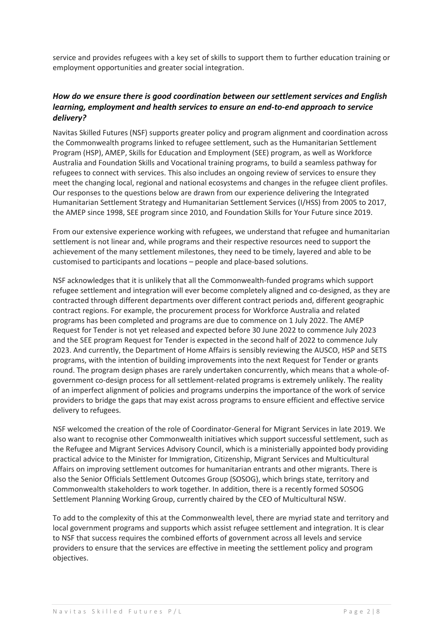service and provides refugees with a key set of skills to support them to further education training or employment opportunities and greater social integration.

# *How do we ensure there is good coordination between our settlement services and English learning, employment and health services to ensure an end-to-end approach to service delivery?*

Navitas Skilled Futures (NSF) supports greater policy and program alignment and coordination across the Commonwealth programs linked to refugee settlement, such as the Humanitarian Settlement Program (HSP), AMEP, Skills for Education and Employment (SEE) program, as well as Workforce Australia and Foundation Skills and Vocational training programs, to build a seamless pathway for refugees to connect with services. This also includes an ongoing review of services to ensure they meet the changing local, regional and national ecosystems and changes in the refugee client profiles. Our responses to the questions below are drawn from our experience delivering the Integrated Humanitarian Settlement Strategy and Humanitarian Settlement Services (I/HSS) from 2005 to 2017, the AMEP since 1998, SEE program since 2010, and Foundation Skills for Your Future since 2019.

From our extensive experience working with refugees, we understand that refugee and humanitarian settlement is not linear and, while programs and their respective resources need to support the achievement of the many settlement milestones, they need to be timely, layered and able to be customised to participants and locations – people and place-based solutions.

NSF acknowledges that it is unlikely that all the Commonwealth-funded programs which support refugee settlement and integration will ever become completely aligned and co-designed, as they are contracted through different departments over different contract periods and, different geographic contract regions. For example, the procurement process for Workforce Australia and related programs has been completed and programs are due to commence on 1 July 2022. The AMEP Request for Tender is not yet released and expected before 30 June 2022 to commence July 2023 and the SEE program Request for Tender is expected in the second half of 2022 to commence July 2023. And currently, the Department of Home Affairs is sensibly reviewing the AUSCO, HSP and SETS programs, with the intention of building improvements into the next Request for Tender or grants round. The program design phases are rarely undertaken concurrently, which means that a whole-ofgovernment co-design process for all settlement-related programs is extremely unlikely. The reality of an imperfect alignment of policies and programs underpins the importance of the work of service providers to bridge the gaps that may exist across programs to ensure efficient and effective service delivery to refugees.

NSF welcomed the creation of the role of Coordinator-General for Migrant Services in late 2019. We also want to recognise other Commonwealth initiatives which support successful settlement, such as the Refugee and Migrant Services Advisory Council, which is a ministerially appointed body providing practical advice to the Minister for Immigration, Citizenship, Migrant Services and Multicultural Affairs on improving settlement outcomes for humanitarian entrants and other migrants. There is also the Senior Officials Settlement Outcomes Group (SOSOG), which brings state, territory and Commonwealth stakeholders to work together. In addition, there is a recently formed SOSOG Settlement Planning Working Group, currently chaired by the CEO of Multicultural NSW.

To add to the complexity of this at the Commonwealth level, there are myriad state and territory and local government programs and supports which assist refugee settlement and integration. It is clear to NSF that success requires the combined efforts of government across all levels and service providers to ensure that the services are effective in meeting the settlement policy and program objectives.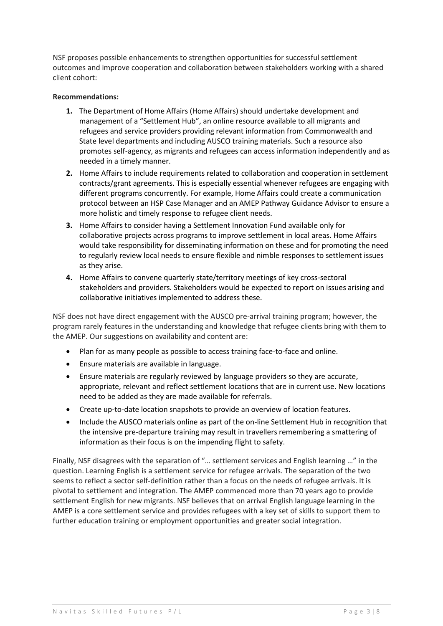NSF proposes possible enhancements to strengthen opportunities for successful settlement outcomes and improve cooperation and collaboration between stakeholders working with a shared client cohort:

## **Recommendations:**

- **1.** The Department of Home Affairs (Home Affairs) should undertake development and management of a "Settlement Hub", an online resource available to all migrants and refugees and service providers providing relevant information from Commonwealth and State level departments and including AUSCO training materials. Such a resource also promotes self-agency, as migrants and refugees can access information independently and as needed in a timely manner.
- **2.** Home Affairs to include requirements related to collaboration and cooperation in settlement contracts/grant agreements. This is especially essential whenever refugees are engaging with different programs concurrently. For example, Home Affairs could create a communication protocol between an HSP Case Manager and an AMEP Pathway Guidance Advisor to ensure a more holistic and timely response to refugee client needs.
- **3.** Home Affairs to consider having a Settlement Innovation Fund available only for collaborative projects across programs to improve settlement in local areas. Home Affairs would take responsibility for disseminating information on these and for promoting the need to regularly review local needs to ensure flexible and nimble responses to settlement issues as they arise.
- **4.** Home Affairs to convene quarterly state/territory meetings of key cross-sectoral stakeholders and providers. Stakeholders would be expected to report on issues arising and collaborative initiatives implemented to address these.

NSF does not have direct engagement with the AUSCO pre-arrival training program; however, the program rarely features in the understanding and knowledge that refugee clients bring with them to the AMEP. Our suggestions on availability and content are:

- Plan for as many people as possible to access training face-to-face and online.
- Ensure materials are available in language.
- Ensure materials are regularly reviewed by language providers so they are accurate, appropriate, relevant and reflect settlement locations that are in current use. New locations need to be added as they are made available for referrals.
- Create up-to-date location snapshots to provide an overview of location features.
- Include the AUSCO materials online as part of the on-line Settlement Hub in recognition that the intensive pre-departure training may result in travellers remembering a smattering of information as their focus is on the impending flight to safety.

Finally, NSF disagrees with the separation of "… settlement services and English learning …" in the question. Learning English is a settlement service for refugee arrivals. The separation of the two seems to reflect a sector self-definition rather than a focus on the needs of refugee arrivals. It is pivotal to settlement and integration. The AMEP commenced more than 70 years ago to provide settlement English for new migrants. NSF believes that on arrival English language learning in the AMEP is a core settlement service and provides refugees with a key set of skills to support them to further education training or employment opportunities and greater social integration.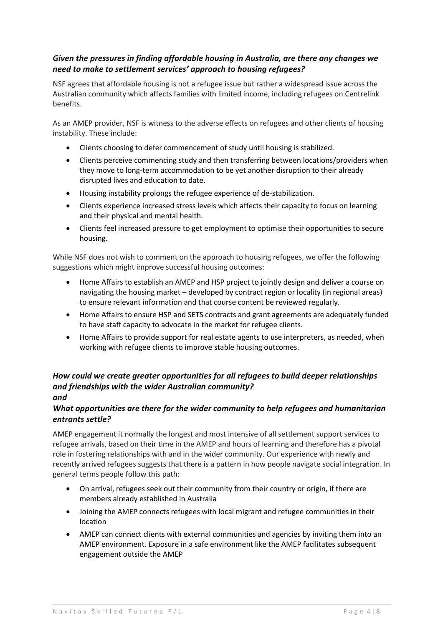# *Given the pressures in finding affordable housing in Australia, are there any changes we need to make to settlement services' approach to housing refugees?*

NSF agrees that affordable housing is not a refugee issue but rather a widespread issue across the Australian community which affects families with limited income, including refugees on Centrelink benefits.

As an AMEP provider, NSF is witness to the adverse effects on refugees and other clients of housing instability. These include:

- Clients choosing to defer commencement of study until housing is stabilized.
- Clients perceive commencing study and then transferring between locations/providers when they move to long-term accommodation to be yet another disruption to their already disrupted lives and education to date.
- Housing instability prolongs the refugee experience of de-stabilization.
- Clients experience increased stress levels which affects their capacity to focus on learning and their physical and mental health.
- Clients feel increased pressure to get employment to optimise their opportunities to secure housing.

While NSF does not wish to comment on the approach to housing refugees, we offer the following suggestions which might improve successful housing outcomes:

- Home Affairs to establish an AMEP and HSP project to jointly design and deliver a course on navigating the housing market – developed by contract region or locality (in regional areas) to ensure relevant information and that course content be reviewed regularly.
- Home Affairs to ensure HSP and SETS contracts and grant agreements are adequately funded to have staff capacity to advocate in the market for refugee clients.
- Home Affairs to provide support for real estate agents to use interpreters, as needed, when working with refugee clients to improve stable housing outcomes.

## *How could we create greater opportunities for all refugees to build deeper relationships and friendships with the wider Australian community? and*

# *What opportunities are there for the wider community to help refugees and humanitarian entrants settle?*

AMEP engagement it normally the longest and most intensive of all settlement support services to refugee arrivals, based on their time in the AMEP and hours of learning and therefore has a pivotal role in fostering relationships with and in the wider community. Our experience with newly and recently arrived refugees suggests that there is a pattern in how people navigate social integration. In general terms people follow this path:

- On arrival, refugees seek out their community from their country or origin, if there are members already established in Australia
- Joining the AMEP connects refugees with local migrant and refugee communities in their location
- AMEP can connect clients with external communities and agencies by inviting them into an AMEP environment. Exposure in a safe environment like the AMEP facilitates subsequent engagement outside the AMEP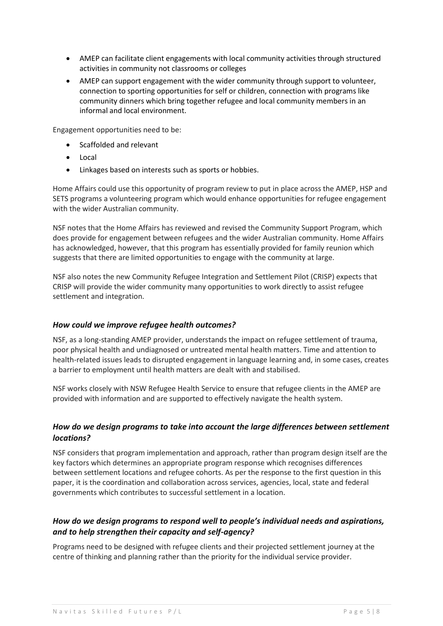- AMEP can facilitate client engagements with local community activities through structured activities in community not classrooms or colleges
- AMEP can support engagement with the wider community through support to volunteer, connection to sporting opportunities for self or children, connection with programs like community dinners which bring together refugee and local community members in an informal and local environment.

Engagement opportunities need to be:

- Scaffolded and relevant
- Local
- Linkages based on interests such as sports or hobbies.

Home Affairs could use this opportunity of program review to put in place across the AMEP, HSP and SETS programs a volunteering program which would enhance opportunities for refugee engagement with the wider Australian community.

NSF notes that the Home Affairs has reviewed and revised the Community Support Program, which does provide for engagement between refugees and the wider Australian community. Home Affairs has acknowledged, however, that this program has essentially provided for family reunion which suggests that there are limited opportunities to engage with the community at large.

NSF also notes the new Community Refugee Integration and Settlement Pilot (CRISP) expects that CRISP will provide the wider community many opportunities to work directly to assist refugee settlement and integration.

## *How could we improve refugee health outcomes?*

NSF, as a long-standing AMEP provider, understands the impact on refugee settlement of trauma, poor physical health and undiagnosed or untreated mental health matters. Time and attention to health-related issues leads to disrupted engagement in language learning and, in some cases, creates a barrier to employment until health matters are dealt with and stabilised.

NSF works closely with NSW Refugee Health Service to ensure that refugee clients in the AMEP are provided with information and are supported to effectively navigate the health system.

# *How do we design programs to take into account the large differences between settlement locations?*

NSF considers that program implementation and approach, rather than program design itself are the key factors which determines an appropriate program response which recognises differences between settlement locations and refugee cohorts. As per the response to the first question in this paper, it is the coordination and collaboration across services, agencies, local, state and federal governments which contributes to successful settlement in a location.

# *How do we design programs to respond well to people's individual needs and aspirations, and to help strengthen their capacity and self-agency?*

Programs need to be designed with refugee clients and their projected settlement journey at the centre of thinking and planning rather than the priority for the individual service provider.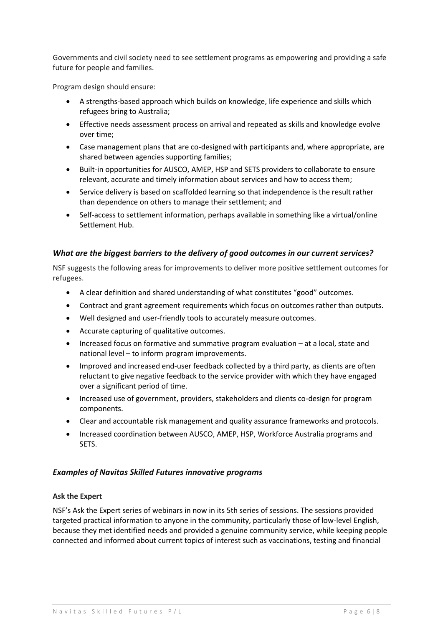Governments and civil society need to see settlement programs as empowering and providing a safe future for people and families.

Program design should ensure:

- A strengths-based approach which builds on knowledge, life experience and skills which refugees bring to Australia;
- Effective needs assessment process on arrival and repeated as skills and knowledge evolve over time;
- Case management plans that are co-designed with participants and, where appropriate, are shared between agencies supporting families;
- Built-in opportunities for AUSCO, AMEP, HSP and SETS providers to collaborate to ensure relevant, accurate and timely information about services and how to access them;
- Service delivery is based on scaffolded learning so that independence is the result rather than dependence on others to manage their settlement; and
- Self-access to settlement information, perhaps available in something like a virtual/online Settlement Hub.

## *What are the biggest barriers to the delivery of good outcomes in our current services?*

NSF suggests the following areas for improvements to deliver more positive settlement outcomes for refugees.

- A clear definition and shared understanding of what constitutes "good" outcomes.
- Contract and grant agreement requirements which focus on outcomes rather than outputs.
- Well designed and user-friendly tools to accurately measure outcomes.
- Accurate capturing of qualitative outcomes.
- Increased focus on formative and summative program evaluation at a local, state and national level – to inform program improvements.
- Improved and increased end-user feedback collected by a third party, as clients are often reluctant to give negative feedback to the service provider with which they have engaged over a significant period of time.
- Increased use of government, providers, stakeholders and clients co-design for program components.
- Clear and accountable risk management and quality assurance frameworks and protocols.
- Increased coordination between AUSCO, AMEP, HSP, Workforce Australia programs and SETS.

### *Examples of Navitas Skilled Futures innovative programs*

### **Ask the Expert**

NSF's Ask the Expert series of webinars in now in its 5th series of sessions. The sessions provided targeted practical information to anyone in the community, particularly those of low-level English, because they met identified needs and provided a genuine community service, while keeping people connected and informed about current topics of interest such as vaccinations, testing and financial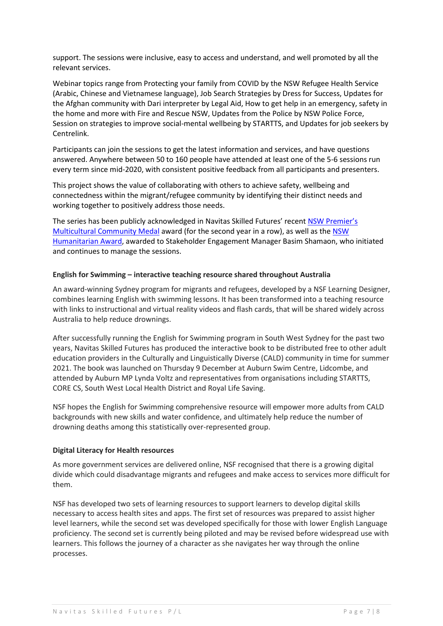support. The sessions were inclusive, easy to access and understand, and well promoted by all the relevant services.

Webinar topics range from Protecting your family from COVID by the NSW Refugee Health Service (Arabic, Chinese and Vietnamese language), Job Search Strategies by Dress for Success, Updates for the Afghan community with Dari interpreter by Legal Aid, How to get help in an emergency, safety in the home and more with Fire and Rescue NSW, Updates from the Police by NSW Police Force, Session on strategies to improve social-mental wellbeing by STARTTS, and Updates for job seekers by Centrelink.

Participants can join the sessions to get the latest information and services, and have questions answered. Anywhere between 50 to 160 people have attended at least one of the 5-6 sessions run every term since mid-2020, with consistent positive feedback from all participants and presenters.

This project shows the value of collaborating with others to achieve safety, wellbeing and connectedness within the migrant/refugee community by identifying their distinct needs and working together to positively address those needs.

The series has been publicly acknowledged in Navitas Skilled Futures' recen[t NSW Premier's](https://navitas-skilled-futures.com.au/news/winners-second-year-in-a-row/)  [Multicultural Community Medal](https://navitas-skilled-futures.com.au/news/winners-second-year-in-a-row/) award (for the second year in a row), as well as the [NSW](https://navitas-skilled-futures.com.au/news/serving-others-the-true-reward-for-fairfields-most-faithful-refugee/)  [Humanitarian Award,](https://navitas-skilled-futures.com.au/news/serving-others-the-true-reward-for-fairfields-most-faithful-refugee/) awarded to Stakeholder Engagement Manager Basim Shamaon, who initiated and continues to manage the sessions.

### **English for Swimming – interactive teaching resource shared throughout Australia**

An award-winning Sydney program for migrants and refugees, developed by a NSF Learning Designer, combines learning English with swimming lessons. It has been transformed into a teaching resource with links to instructional and virtual reality videos and flash cards, that will be shared widely across Australia to help reduce drownings.

After successfully running the English for Swimming program in South West Sydney for the past two years, Navitas Skilled Futures has produced the interactive book to be distributed free to other adult education providers in the Culturally and Linguistically Diverse (CALD) community in time for summer 2021. The book was launched on Thursday 9 December at Auburn Swim Centre, Lidcombe, and attended by Auburn MP Lynda Voltz and representatives from organisations including STARTTS, CORE CS, South West Local Health District and Royal Life Saving.

NSF hopes the English for Swimming comprehensive resource will empower more adults from CALD backgrounds with new skills and water confidence, and ultimately help reduce the number of drowning deaths among this statistically over-represented group.

### **Digital Literacy for Health resources**

As more government services are delivered online, NSF recognised that there is a growing digital divide which could disadvantage migrants and refugees and make access to services more difficult for them.

NSF has developed two sets of learning resources to support learners to develop digital skills necessary to access health sites and apps. The first set of resources was prepared to assist higher level learners, while the second set was developed specifically for those with lower English Language proficiency. The second set is currently being piloted and may be revised before widespread use with learners. This follows the journey of a character as she navigates her way through the online processes.